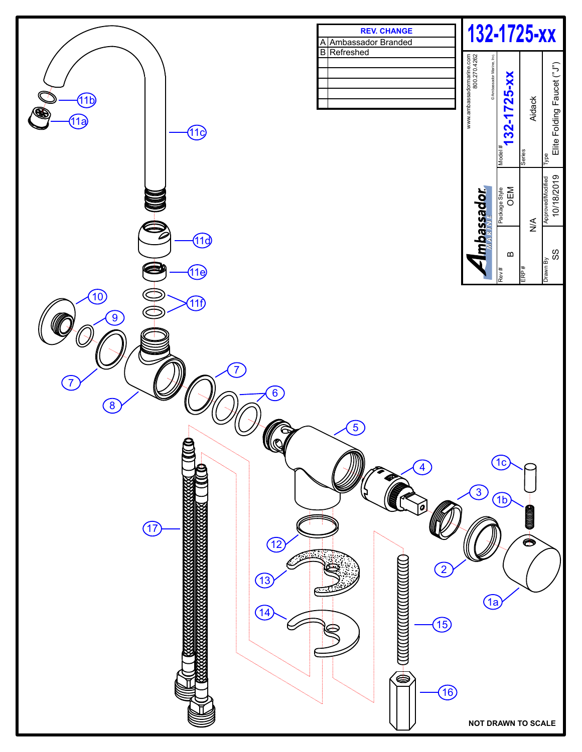